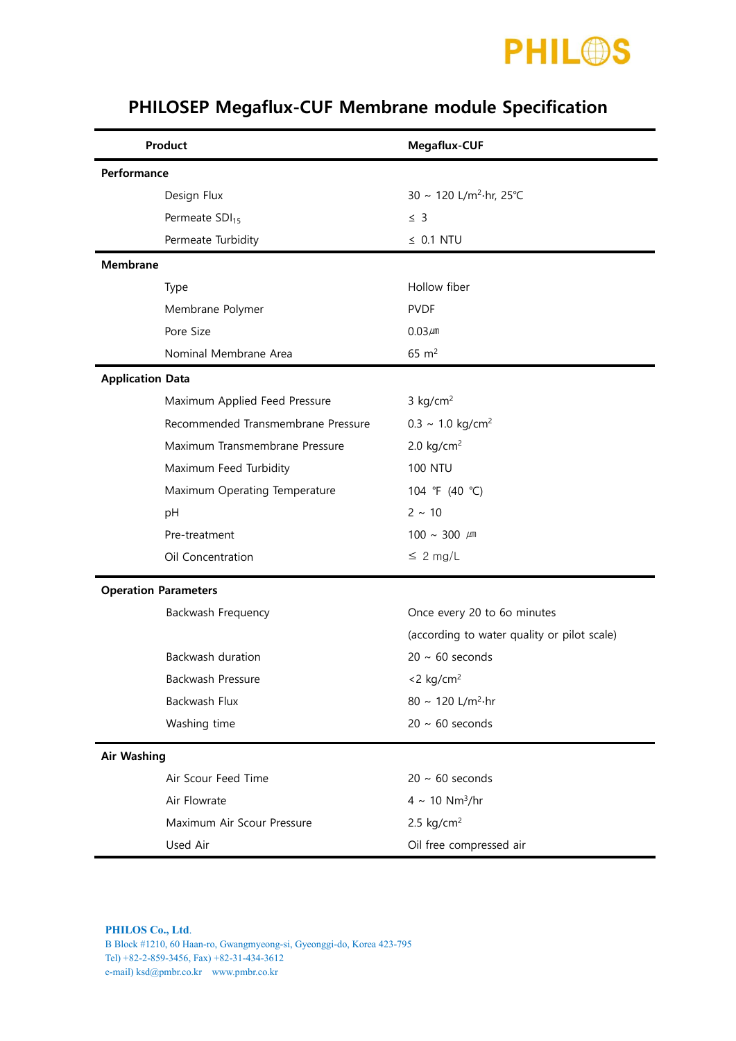

| Product                     |                                    | Megaflux-CUF                                |  |  |  |
|-----------------------------|------------------------------------|---------------------------------------------|--|--|--|
| Performance                 |                                    |                                             |  |  |  |
|                             | Design Flux                        | 30 ~ 120 L/m <sup>2</sup> ·hr, 25°C         |  |  |  |
|                             | Permeate SDI <sub>15</sub>         | $\leq$ 3                                    |  |  |  |
|                             | Permeate Turbidity                 | $\leq$ 0.1 NTU                              |  |  |  |
| <b>Membrane</b>             |                                    |                                             |  |  |  |
|                             | Type                               | Hollow fiber                                |  |  |  |
|                             | Membrane Polymer                   | <b>PVDF</b>                                 |  |  |  |
|                             | Pore Size                          | $0.03 \mu m$                                |  |  |  |
|                             | Nominal Membrane Area              | $65 \; \text{m}^2$                          |  |  |  |
| <b>Application Data</b>     |                                    |                                             |  |  |  |
|                             | Maximum Applied Feed Pressure      | $3$ kg/cm <sup>2</sup>                      |  |  |  |
|                             | Recommended Transmembrane Pressure | $0.3 \sim 1.0 \text{ kg/cm}^2$              |  |  |  |
|                             | Maximum Transmembrane Pressure     | 2.0 $kg/cm2$                                |  |  |  |
|                             | Maximum Feed Turbidity             | <b>100 NTU</b>                              |  |  |  |
|                             | Maximum Operating Temperature      | 104 °F (40 °C)                              |  |  |  |
|                             | pH                                 | $2 \sim 10$                                 |  |  |  |
|                             | Pre-treatment                      | 100 ~ 300 $\mu$ m                           |  |  |  |
|                             | Oil Concentration                  | $\leq 2$ mg/L                               |  |  |  |
| <b>Operation Parameters</b> |                                    |                                             |  |  |  |
|                             | Backwash Frequency                 | Once every 20 to 6o minutes                 |  |  |  |
|                             |                                    | (according to water quality or pilot scale) |  |  |  |
|                             | Backwash duration                  | $20 \sim 60$ seconds                        |  |  |  |
|                             | Backwash Pressure                  | $<$ 2 kg/cm <sup>2</sup>                    |  |  |  |
|                             | Backwash Flux                      | 80 ~ 120 L/m <sup>2</sup> ·hr               |  |  |  |
|                             | Washing time                       | $20 \sim 60$ seconds                        |  |  |  |
| <b>Air Washing</b>          |                                    |                                             |  |  |  |
|                             | Air Scour Feed Time                | $20 \sim 60$ seconds                        |  |  |  |
|                             | Air Flowrate                       | $4 \sim 10 \text{ Nm}^3/\text{hr}$          |  |  |  |
|                             | Maximum Air Scour Pressure         | 2.5 $kg/cm2$                                |  |  |  |
|                             | Used Air                           | Oil free compressed air                     |  |  |  |

## PHILOSEP Megaflux-CUF Membrane module Specification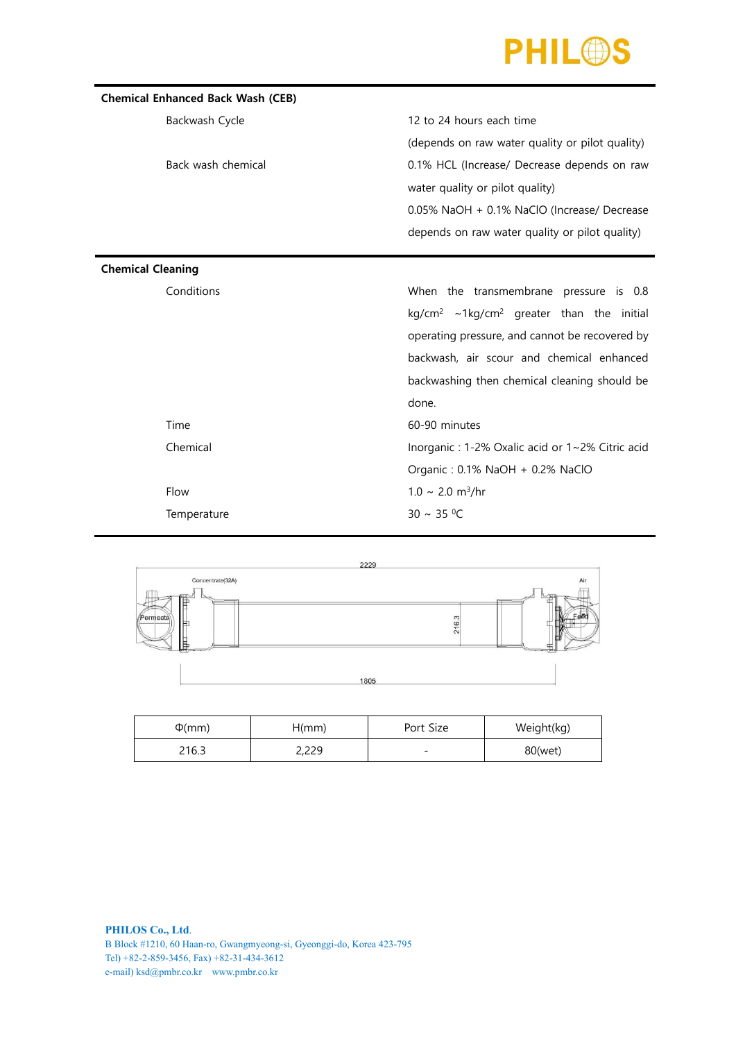

| <b>Chemical Enhanced Back Wash (CEB)</b> |                                                                  |  |  |  |  |
|------------------------------------------|------------------------------------------------------------------|--|--|--|--|
| Backwash Cycle                           | 12 to 24 hours each time                                         |  |  |  |  |
|                                          | (depends on raw water quality or pilot quality)                  |  |  |  |  |
| Back wash chemical                       | 0.1% HCL (Increase/ Decrease depends on raw                      |  |  |  |  |
|                                          | water quality or pilot quality)                                  |  |  |  |  |
|                                          | 0.05% NaOH + 0.1% NaClO (Increase/ Decrease                      |  |  |  |  |
|                                          | depends on raw water quality or pilot quality)                   |  |  |  |  |
|                                          |                                                                  |  |  |  |  |
| <b>Chemical Cleaning</b>                 |                                                                  |  |  |  |  |
| Conditions                               | When the transmembrane pressure is 0.8                           |  |  |  |  |
|                                          | kg/cm <sup>2</sup> ~1kg/cm <sup>2</sup> greater than the initial |  |  |  |  |
|                                          | operating pressure, and cannot be recovered by                   |  |  |  |  |
|                                          | backwash, air scour and chemical enhanced                        |  |  |  |  |
|                                          | backwashing then chemical cleaning should be                     |  |  |  |  |
|                                          | done.                                                            |  |  |  |  |
| Time                                     | 60-90 minutes                                                    |  |  |  |  |
| Chemical                                 | Inorganic : 1-2% Oxalic acid or 1~2% Citric acid                 |  |  |  |  |
|                                          | Organic: 0.1% NaOH + 0.2% NaClO                                  |  |  |  |  |
| Flow                                     | $1.0 \sim 2.0 \text{ m}^3/\text{hr}$                             |  |  |  |  |
| Temperature                              | $30 \sim 35 °C$                                                  |  |  |  |  |
|                                          |                                                                  |  |  |  |  |



| $\Phi$ (mm) | H(mm) | Port Size                | Weight(kg) |
|-------------|-------|--------------------------|------------|
| 216.3       | 2,229 | $\overline{\phantom{a}}$ | 80(wet)    |